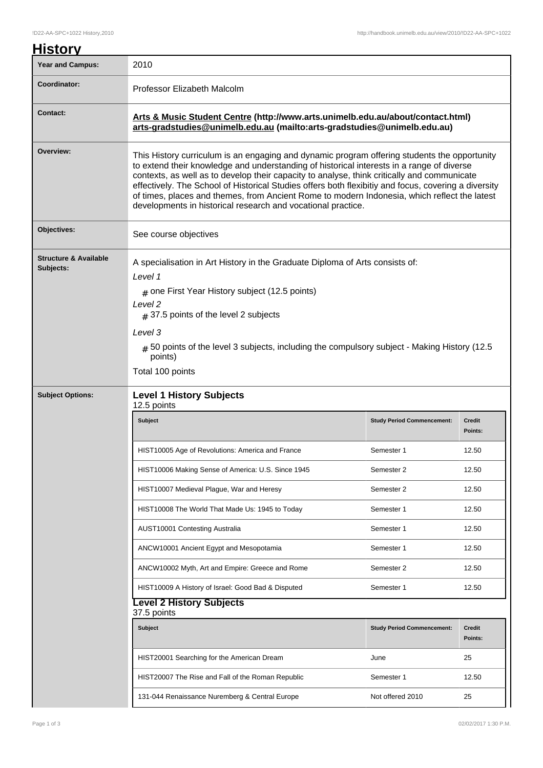| <b>History</b>                                |                                                                                                                                                                                                                                                                                                                                                                                                                                                                                                                                                                  |                                   |                          |  |  |
|-----------------------------------------------|------------------------------------------------------------------------------------------------------------------------------------------------------------------------------------------------------------------------------------------------------------------------------------------------------------------------------------------------------------------------------------------------------------------------------------------------------------------------------------------------------------------------------------------------------------------|-----------------------------------|--------------------------|--|--|
| <b>Year and Campus:</b>                       | 2010                                                                                                                                                                                                                                                                                                                                                                                                                                                                                                                                                             |                                   |                          |  |  |
| Coordinator:                                  | Professor Elizabeth Malcolm                                                                                                                                                                                                                                                                                                                                                                                                                                                                                                                                      |                                   |                          |  |  |
| <b>Contact:</b>                               | Arts & Music Student Centre (http://www.arts.unimelb.edu.au/about/contact.html)<br>arts-gradstudies@unimelb.edu.au (mailto:arts-gradstudies@unimelb.edu.au)                                                                                                                                                                                                                                                                                                                                                                                                      |                                   |                          |  |  |
| Overview:                                     | This History curriculum is an engaging and dynamic program offering students the opportunity<br>to extend their knowledge and understanding of historical interests in a range of diverse<br>contexts, as well as to develop their capacity to analyse, think critically and communicate<br>effectively. The School of Historical Studies offers both flexibitiy and focus, covering a diversity<br>of times, places and themes, from Ancient Rome to modern Indonesia, which reflect the latest<br>developments in historical research and vocational practice. |                                   |                          |  |  |
| Objectives:                                   | See course objectives<br>A specialisation in Art History in the Graduate Diploma of Arts consists of:<br>Level 1<br>$#$ one First Year History subject (12.5 points)<br>Level <sub>2</sub><br>$#$ 37.5 points of the level 2 subjects<br>Level 3<br>$_{\#}$ 50 points of the level 3 subjects, including the compulsory subject - Making History (12.5<br>points)<br>Total 100 points                                                                                                                                                                            |                                   |                          |  |  |
| <b>Structure &amp; Available</b><br>Subjects: |                                                                                                                                                                                                                                                                                                                                                                                                                                                                                                                                                                  |                                   |                          |  |  |
| <b>Subject Options:</b>                       |                                                                                                                                                                                                                                                                                                                                                                                                                                                                                                                                                                  |                                   |                          |  |  |
|                                               | <b>Subject</b>                                                                                                                                                                                                                                                                                                                                                                                                                                                                                                                                                   | <b>Study Period Commencement:</b> | <b>Credit</b><br>Points: |  |  |
|                                               | HIS I 10005 Age of Revolutions: America and France                                                                                                                                                                                                                                                                                                                                                                                                                                                                                                               | Semester 1                        | 12.50                    |  |  |
|                                               | HIST10006 Making Sense of America: U.S. Since 1945                                                                                                                                                                                                                                                                                                                                                                                                                                                                                                               | Semester 2                        | 12.50                    |  |  |
|                                               | HIST10007 Medieval Plague, War and Heresy                                                                                                                                                                                                                                                                                                                                                                                                                                                                                                                        | Semester 2                        | 12.50                    |  |  |
|                                               | HIST10008 The World That Made Us: 1945 to Today                                                                                                                                                                                                                                                                                                                                                                                                                                                                                                                  | Semester 1                        | 12.50                    |  |  |
|                                               | AUST10001 Contesting Australia                                                                                                                                                                                                                                                                                                                                                                                                                                                                                                                                   | Semester 1                        | 12.50                    |  |  |
|                                               | ANCW10001 Ancient Egypt and Mesopotamia                                                                                                                                                                                                                                                                                                                                                                                                                                                                                                                          | Semester 1                        | 12.50                    |  |  |
|                                               | ANCW10002 Myth, Art and Empire: Greece and Rome                                                                                                                                                                                                                                                                                                                                                                                                                                                                                                                  | Semester 2                        | 12.50                    |  |  |
|                                               | HIST10009 A History of Israel: Good Bad & Disputed                                                                                                                                                                                                                                                                                                                                                                                                                                                                                                               | Semester 1                        | 12.50                    |  |  |
|                                               | <b>Level 2 History Subjects</b><br>37.5 points                                                                                                                                                                                                                                                                                                                                                                                                                                                                                                                   |                                   |                          |  |  |
|                                               | Subject                                                                                                                                                                                                                                                                                                                                                                                                                                                                                                                                                          | <b>Study Period Commencement:</b> | <b>Credit</b><br>Points: |  |  |
|                                               | HIST20001 Searching for the American Dream                                                                                                                                                                                                                                                                                                                                                                                                                                                                                                                       | June                              | 25                       |  |  |
|                                               | HIST20007 The Rise and Fall of the Roman Republic                                                                                                                                                                                                                                                                                                                                                                                                                                                                                                                | Semester 1                        | 12.50                    |  |  |
|                                               | 131-044 Renaissance Nuremberg & Central Europe                                                                                                                                                                                                                                                                                                                                                                                                                                                                                                                   | Not offered 2010                  | 25                       |  |  |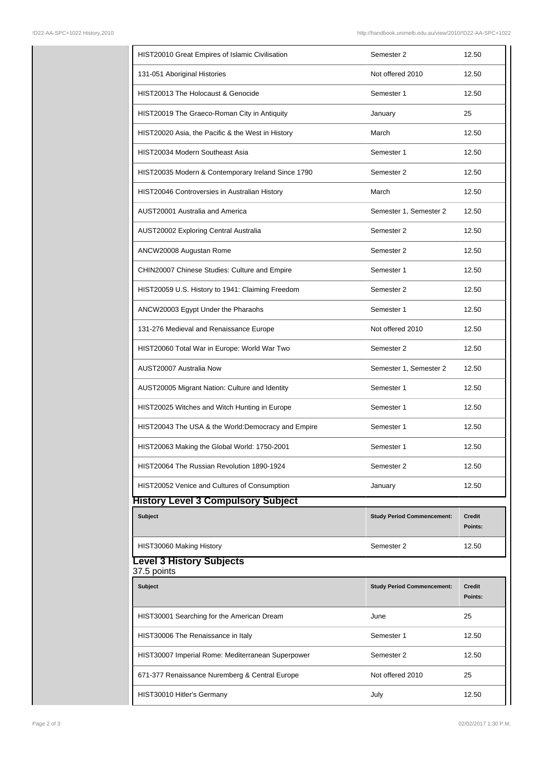|  | HIST20010 Great Empires of Islamic Civilisation    | Semester 2                        | 12.50                    |  |  |  |
|--|----------------------------------------------------|-----------------------------------|--------------------------|--|--|--|
|  | 131-051 Aboriginal Histories                       | Not offered 2010                  | 12.50                    |  |  |  |
|  | HIST20013 The Holocaust & Genocide                 | Semester 1                        | 12.50                    |  |  |  |
|  | HIST20019 The Graeco-Roman City in Antiquity       | January                           | 25                       |  |  |  |
|  | HIST20020 Asia, the Pacific & the West in History  | March                             | 12.50                    |  |  |  |
|  | HIST20034 Modern Southeast Asia                    | Semester 1                        | 12.50                    |  |  |  |
|  | HIST20035 Modern & Contemporary Ireland Since 1790 | Semester 2                        | 12.50                    |  |  |  |
|  | HIST20046 Controversies in Australian History      | March                             | 12.50                    |  |  |  |
|  | AUST20001 Australia and America                    | Semester 1, Semester 2            | 12.50                    |  |  |  |
|  | AUST20002 Exploring Central Australia              | Semester 2                        | 12.50                    |  |  |  |
|  | ANCW20008 Augustan Rome                            | Semester 2                        | 12.50                    |  |  |  |
|  | CHIN20007 Chinese Studies: Culture and Empire      | Semester 1                        | 12.50                    |  |  |  |
|  | HIST20059 U.S. History to 1941: Claiming Freedom   | Semester 2                        | 12.50                    |  |  |  |
|  | ANCW20003 Egypt Under the Pharaohs                 | Semester 1                        | 12.50                    |  |  |  |
|  | 131-276 Medieval and Renaissance Europe            | Not offered 2010                  | 12.50                    |  |  |  |
|  | HIST20060 Total War in Europe: World War Two       | Semester 2                        | 12.50                    |  |  |  |
|  | AUST20007 Australia Now                            | Semester 1, Semester 2            | 12.50                    |  |  |  |
|  | AUST20005 Migrant Nation: Culture and Identity     | Semester 1                        | 12.50                    |  |  |  |
|  | HIST20025 Witches and Witch Hunting in Europe      | Semester 1                        | 12.50                    |  |  |  |
|  | HIST20043 The USA & the World:Democracy and Empire | Semester 1                        | 12.50                    |  |  |  |
|  | HIST20063 Making the Global World: 1750-2001       | Semester 1                        | 12.50                    |  |  |  |
|  | HIST20064 The Russian Revolution 1890-1924         | Semester 2                        | 12.50                    |  |  |  |
|  | HIST20052 Venice and Cultures of Consumption       | January                           | 12.50                    |  |  |  |
|  | <b>History Level 3 Compulsory Subject</b>          |                                   |                          |  |  |  |
|  | <b>Subject</b>                                     | <b>Study Period Commencement:</b> | Credit<br>Points:        |  |  |  |
|  | HIST30060 Making History                           | Semester 2                        | 12.50                    |  |  |  |
|  | <b>Level 3 History Subjects</b>                    |                                   |                          |  |  |  |
|  | 37.5 points                                        |                                   |                          |  |  |  |
|  | <b>Subject</b>                                     | <b>Study Period Commencement:</b> | <b>Credit</b><br>Points: |  |  |  |
|  | HIST30001 Searching for the American Dream         | June                              | 25                       |  |  |  |
|  | HIST30006 The Renaissance in Italy                 | Semester 1                        | 12.50                    |  |  |  |
|  | HIST30007 Imperial Rome: Mediterranean Superpower  | Semester 2                        | 12.50                    |  |  |  |
|  | 671-377 Renaissance Nuremberg & Central Europe     | Not offered 2010                  | 25                       |  |  |  |
|  | HIST30010 Hitler's Germany                         | July                              | 12.50                    |  |  |  |
|  |                                                    |                                   |                          |  |  |  |